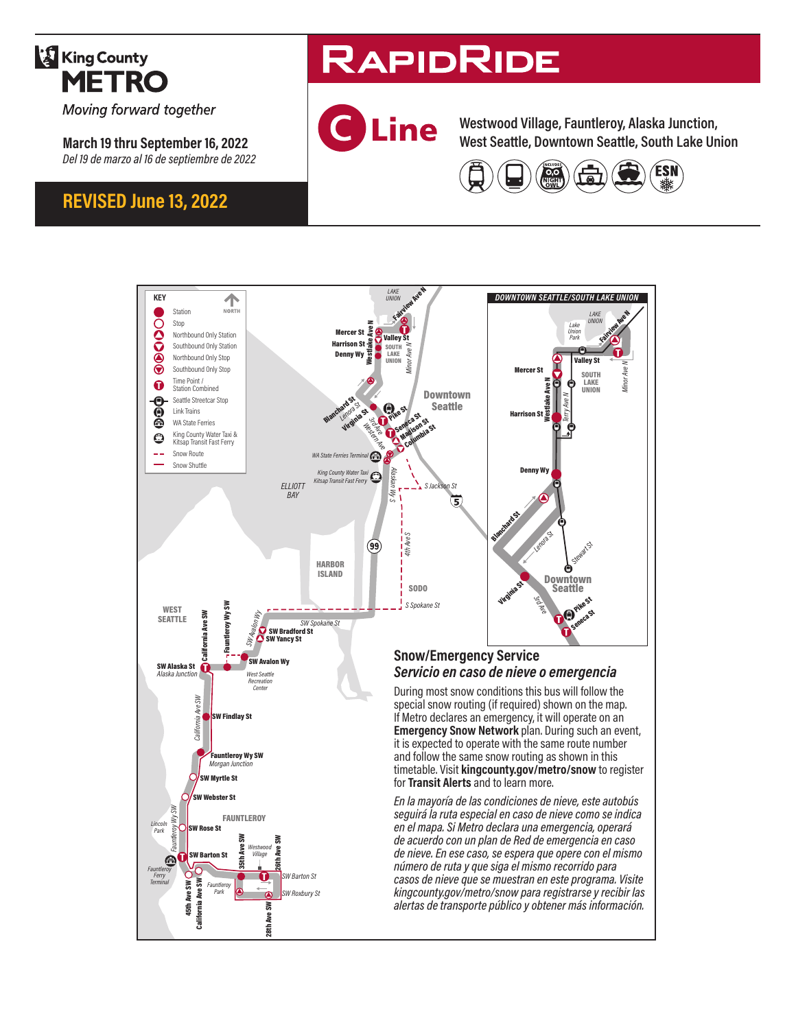

Moving forward together

**March 19 thru September 16, 2022** *Del 19 de marzo al 16 de septiembre de 2022*

## **REVISED June 13, 2022**

# **RAPIDRIDE**



**Westwood Village, Fauntleroy, Alaska Junction, West Seattle, Downtown Seattle, South Lake Union**



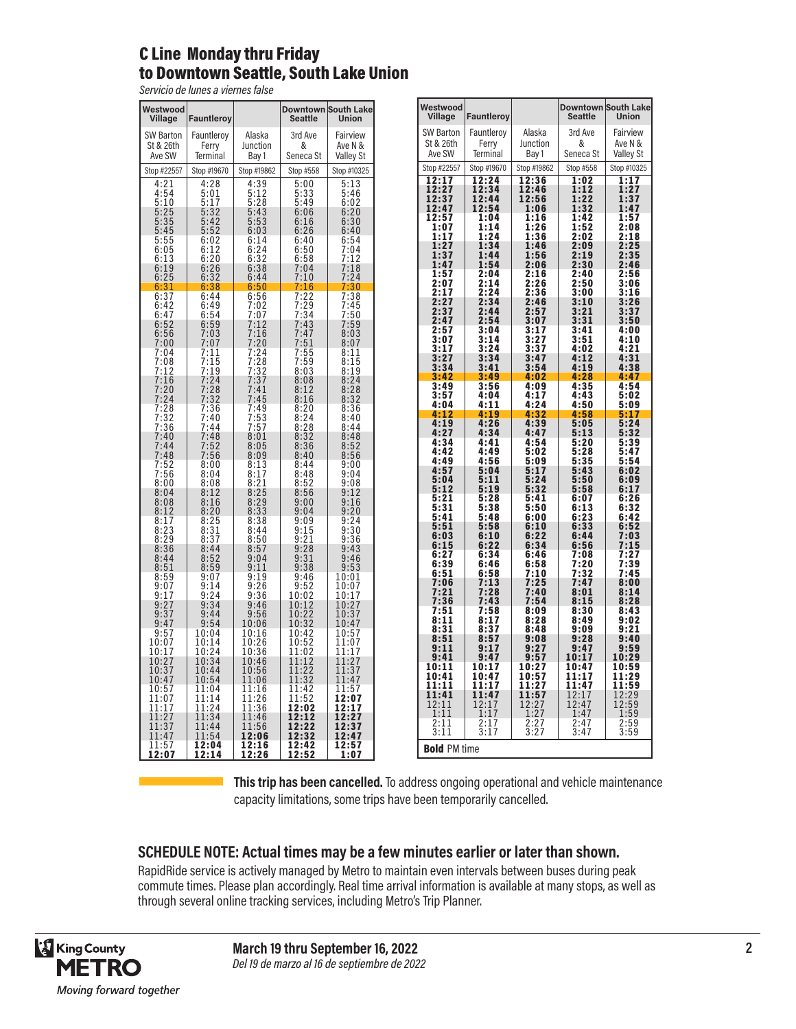#### C Line Monday thru Friday to Downtown Seattle, South Lake Union

*Servicio de lunes a viernes false*

| Westwood<br>Village                                                     | Fauntleroy                                                                                |                                                                       | <b>Downtown</b><br><b>Seattle</b>                                                                              | <b>South Lake</b><br><b>Union</b>                                                                                                                                                                                                                                              |
|-------------------------------------------------------------------------|-------------------------------------------------------------------------------------------|-----------------------------------------------------------------------|----------------------------------------------------------------------------------------------------------------|--------------------------------------------------------------------------------------------------------------------------------------------------------------------------------------------------------------------------------------------------------------------------------|
| <b>SW Barton</b><br>St & 26th<br>Ave SW                                 | Fauntleroy<br>Ferry<br><b>Terminal</b>                                                    | Alaska<br>Junction<br>Bay 1                                           | 3rd Ave<br>&<br>Seneca St                                                                                      | Fairview<br>Ave N &<br><b>Valley St</b>                                                                                                                                                                                                                                        |
| Stop #22557                                                             | Stop #19670                                                                               | Stop #19862                                                           | Stop #558                                                                                                      | Stop #10325                                                                                                                                                                                                                                                                    |
|                                                                         | $\frac{4:28}{5:01}$                                                                       | 4:39<br>5:128<br>5:43<br>5:43<br>5:53<br>6:14<br>6:24<br>6:38<br>6:44 | $\frac{5:00}{5:33}$<br>$\frac{5:49}{5:49}$                                                                     | $\frac{5:13}{5:46}$                                                                                                                                                                                                                                                            |
|                                                                         | $\frac{17}{32}$<br>$\frac{32}{42}$<br>5<br>5<br>5<br>5<br>5<br>6<br>6<br>$\frac{152}{02}$ |                                                                       | $6:06$<br>$6:16$<br>$6:26$                                                                                     | $6:02$<br>$6:20$<br>$6:30$<br>$6:40$                                                                                                                                                                                                                                           |
|                                                                         | $6:12$<br>$6:20$<br>$6:26$<br>$6:32$<br>$6:38$<br>$6:44$                                  |                                                                       | 6:26<br>6:40<br>6:50<br>6:58<br>7:04<br>7:10<br>7:16                                                           |                                                                                                                                                                                                                                                                                |
|                                                                         |                                                                                           | 6:50                                                                  |                                                                                                                |                                                                                                                                                                                                                                                                                |
|                                                                         |                                                                                           |                                                                       | 7:22437.23437:437:437:55593.                                                                                   | $\begin{smallmatrix} 6.54 & 1.24 & 1.24 & 1.24 & 1.24 & 1.24 & 1.24 & 1.24 & 1.24 & 1.24 & 1.24 & 1.24 & 1.24 & 1.24 & 1.24 & 1.24 & 1.24 & 1.24 & 1.24 & 1.24 & 1.24 & 1.24 & 1.24 & 1.24 & 1.24 & 1.24 & 1.24 & 1.24 & 1.24 & 1.24 & 1.24 & 1.24 & 1.24 & 1.24 & 1.24 & 1.2$ |
|                                                                         |                                                                                           |                                                                       |                                                                                                                |                                                                                                                                                                                                                                                                                |
|                                                                         | 6:49<br>6:593<br>6:5937:07<br>7:115<br>7:115<br>7:12<br>7:23<br>7:36<br>7:14<br>7:44      |                                                                       |                                                                                                                |                                                                                                                                                                                                                                                                                |
|                                                                         |                                                                                           |                                                                       |                                                                                                                |                                                                                                                                                                                                                                                                                |
|                                                                         | $\frac{148}{52}$<br>$\frac{52}{56}$<br>$\frac{7}{7}$                                      |                                                                       | 8:08<br>8:12<br>8:16<br>8:20<br>8:24<br>8:28<br>8:32<br>8:36<br>8:40                                           | $8:48$<br>$8:52$<br>$8:56$<br>$9:00$<br>$9:04$                                                                                                                                                                                                                                 |
|                                                                         | 7<br>$\frac{8:00}{8:04}$<br>8:08                                                          |                                                                       |                                                                                                                |                                                                                                                                                                                                                                                                                |
|                                                                         | $8:12$<br>$8:16$<br>$8:20$                                                                |                                                                       | 8:48<br>8:52<br>8:56<br>8:56<br>9:00<br>9:00<br>9:15<br>9:21<br>9:21<br>9:31<br>9:33<br>9:33                   | 9:08<br>9:12<br>9:16<br>9:20<br>9:24<br>9:36<br>9:43<br>9:53<br>9:53                                                                                                                                                                                                           |
|                                                                         |                                                                                           |                                                                       |                                                                                                                |                                                                                                                                                                                                                                                                                |
|                                                                         |                                                                                           |                                                                       |                                                                                                                | $\frac{10:01}{10:07}$                                                                                                                                                                                                                                                          |
|                                                                         | $\frac{1}{24}$<br>$\frac{34}{44}$<br>9<br>9                                               |                                                                       | $9:46$<br>$9:52$<br>$0:02$<br>$0:12$<br>$0:22$<br>1<br>1<br>$\overline{1}$                                     | $\frac{1}{2}$<br>10<br>1<br>7<br>$\frac{2}{3}$<br>0:0:0:<br>7<br>1<br>$\overline{1}$<br>7                                                                                                                                                                                      |
| $9:37$<br>$9:47$<br>$9:57$<br>$0:07$<br>$0:17$<br>$0:27$<br>1           | 9:54<br>10:04<br>10:14                                                                    | 10:06<br>10:16<br>$\frac{10:26}{10:36}$                               | $\overline{32}$<br>0:<br>1<br>10:42<br>10:52<br>11:02                                                          | 1<br>0:4<br>7<br>$0:57$<br>$1:07$<br>$1:17$<br>1<br>1                                                                                                                                                                                                                          |
| 1<br>1<br>1<br>7<br>1<br>7                                              | 0:24<br>1<br>0.54<br>1<br>$\overline{1}$<br>0:44<br>1<br>0:54                             | 10:46<br>$\frac{10.5}{11.0}$<br>6<br>6                                | $\frac{1:1}{1:2}$<br>$\overline{2}$<br>1<br>$\overline{1}$<br>$\overline{2}$<br>1:<br>3<br>$\overline{2}$<br>1 | $\overline{1}$<br>1:2<br>$\mathbf{1}$<br>7<br>11:<br>3<br>7<br>11:4<br>7                                                                                                                                                                                                       |
| $0:3$<br>$0:4$<br>$0:5$<br>$1:0$<br>$1:1$<br>1<br>7<br>7<br>1<br>7<br>1 | $1:04$<br>$1:14$<br>$1:24$<br>1<br>1<br>1                                                 | $\begin{array}{c} 11.16 \\ 11.16 \\ 11.26 \\ 11.36 \\ \end{array}$    | $1:42$<br>$1:52$<br><b>2:02</b><br><b>2:12</b><br>1<br>1<br>1                                                  | $\frac{1}{2}$ : $\frac{5}{2}$ : $\frac{2}{2}$ : $\frac{2}{2}$<br>1<br>7<br>1<br>7<br>1<br>7                                                                                                                                                                                    |
| 1:2<br>1<br>7<br>$\frac{11:37}{11:47}$<br>$\frac{11:57}{12:07}$         | 11:34<br>1:44<br>1<br>1:54<br>1                                                           | 11:46<br>$\frac{11:56}{12:06}$                                        | 1<br>12:22<br>12:22<br>12:32<br>12:42<br>12:52                                                                 | 1<br>7<br>$\frac{1}{2}$ : 3<br>12: 4<br>7<br>7<br>12:57                                                                                                                                                                                                                        |
| 07                                                                      | 12:04<br><u>12:14</u>                                                                     | $\frac{12:16}{12:26}$                                                 |                                                                                                                | 1<br>ł<br>0<br>7                                                                                                                                                                                                                                                               |

 $\mathcal{L}(\mathcal{A})$ 

| Westwood                                       |                                                    |                                                                                         | <b>Downtown</b>                                          | <b>South Lake</b>                            |
|------------------------------------------------|----------------------------------------------------|-----------------------------------------------------------------------------------------|----------------------------------------------------------|----------------------------------------------|
| Village                                        | <b>Fauntleroy</b>                                  |                                                                                         | <b>Seattle</b>                                           | Union                                        |
| SW Barton<br>St & 26th                         | Fauntleroy<br>Ferry                                | Alaska<br>Junction                                                                      | 3rd Ave<br>&                                             | Fairview<br>Ave N &                          |
| Ave SW                                         | Terminal                                           | Bay 1                                                                                   | Seneca St                                                | <b>Valley St</b>                             |
| Stop #22557                                    | Stop #19670                                        | Stop #19862                                                                             | Stop #558                                                | Stop #10325                                  |
| 12:17<br>12:27                                 | 12:24<br>12:34                                     | 12:36<br>12:46                                                                          | 1:02<br>1:12                                             | 1:17<br>1:27                                 |
| 12:37                                          | 12:44                                              | 12:56                                                                                   | 1:22                                                     | 1:37                                         |
| 12:47                                          | 12:54<br>1:04                                      | 1:06                                                                                    | 1:32                                                     | 1:47                                         |
| $\frac{12:57}{1:07}$<br>1:17                   | 1:14<br>1:24                                       | $\frac{1:16}{1:26}$<br>1:36                                                             | $1:42$<br>$1:52$<br>$2:02$                               | $\frac{1:57}{2:08}$<br>2:18                  |
| $\bar{1}:\bar{2}7$<br>1:37                     | 1:34                                               | $\frac{1:46}{1:56}$                                                                     | 2:09<br>2:19                                             | 2:25                                         |
| 1:47                                           | 1:44<br>1:54                                       | 2:06                                                                                    |                                                          | 2:35<br>2:46                                 |
| 1:57<br>$\bar{2}$ :07                          | $2:04$<br>2:14                                     | 2:16<br>$\bar{2}$ :26                                                                   | $\frac{2:30}{2:40}$<br>2:40<br>2:50                      | 2:56<br>3:06                                 |
| 2:17                                           | 2:24                                               | 2:36                                                                                    | 3:00                                                     | 3:16                                         |
| $\overline{2:} \overline{2} \overline{7}$      | $2:34$<br>$2:44$<br>$2:54$                         | 2:46                                                                                    |                                                          | 3:26                                         |
|                                                | 3:04                                               |                                                                                         |                                                          | 3:37<br>3:37<br>3:50                         |
| $2:37$<br>$2:47$<br>$2:57$<br>$3:07$<br>$3:17$ | 3:14                                               | 2:57<br>2:57<br>3:07<br>3:17<br>3:27<br>3:37                                            | $3:10$<br>$3:21$<br>$3:31$<br>$3:41$<br>$3:51$<br>$4:02$ | 4:00<br>4:10                                 |
|                                                | 3:24                                               | 3:47                                                                                    | 4:02<br>4:12                                             | 4:21<br>4:31                                 |
| $3:27$<br>$3:34$                               | $3:34$<br>$3:41$                                   | 3:54                                                                                    | 4:19                                                     | 4:38                                         |
| 3:42<br>$3:49$<br>$3:57$                       | 3:49<br>$3:56$<br>$4:04$                           | 4:02<br>4:09<br>4:17                                                                    | 4:28<br>$4:35$<br>$4:43$                                 | 4:47<br>$4:54$<br>$5:02$                     |
| 4:04                                           | 4:11                                               | 4:24                                                                                    | 4:50                                                     | 5:09                                         |
| $4:12$<br>$4:19$                               | 4:19                                               | $4:32$<br>$4:39$                                                                        | $4:58$<br>5:05                                           | 5:17                                         |
| $\frac{4:27}{4:34}$                            | 4:26<br>4:34                                       | $\frac{4:47}{4:54}$                                                                     | $\frac{5:13}{5}$                                         | 5:24                                         |
| 4:42                                           | 4:41<br>4:49                                       | 5:02                                                                                    | 5:20<br>5:28                                             | $\frac{5:32}{5:39}$<br>5:47                  |
| 4:49                                           | 4:56                                               | 5:09                                                                                    | 5:35                                                     | 5:54                                         |
| 4:57<br>$\frac{1}{2}$ :04                      | 5:04<br>5:11                                       | $\frac{17}{24}$<br>5<br>5                                                               | 5:43<br>$5:50$<br>$5:58$                                 | 6:02                                         |
| 5:12<br>5:21                                   | 5:19<br>5:28                                       | 5:32<br>5:41                                                                            | 6:07                                                     | $6:09$<br>$6:17$<br>6:26                     |
| $5:31$<br>$5:41$<br>$5:51$<br>$6:03$           | 5:38                                               | $5:50$<br>$6:00$<br>$6:10$<br>$6:22$                                                    | 6:13                                                     | 6:32                                         |
|                                                | 5:48<br>5:58                                       |                                                                                         | $6:23$<br>$6:33$<br>$6:44$                               | 6:42<br>$6:52$<br>$7:03$                     |
| 6:15                                           | 6:10<br>6:22                                       | 6:34                                                                                    | 6:56                                                     | :15<br>7                                     |
|                                                | 6:34                                               | $6:46$<br>$6:58$<br>$7:10$<br>$7:25$                                                    |                                                          | $7:27$<br>$7:39$<br>$7:45$<br>8:00           |
| $6:27$<br>$6:39$<br>$6:51$                     | $6:46$<br>$6:58$                                   |                                                                                         | 7:08<br>7:20<br>7:32<br>7:47                             |                                              |
| 7:06<br>7:21                                   | 7:13<br>7:28                                       | 7:40                                                                                    | 8:01                                                     | 8:14                                         |
| 7:36                                           | 7:43                                               | 7:54                                                                                    | 8:15                                                     | 8:28                                         |
| 7:51<br>8:11                                   | 7:58<br>8:17                                       | $\frac{8:09}{8:28}$                                                                     | $\frac{8:30}{8:49}$                                      | 8:43<br>9:02                                 |
| 8:31<br>8:51                                   | 8:37<br>8:57                                       | 8:48<br>9:08                                                                            | 9:09<br>9:28                                             | 9:21<br>9:40                                 |
| 9:11                                           | 9:17<br>9:47                                       | 7                                                                                       | 9:4<br>7                                                 | $\frac{9:59}{10:29}$                         |
| 9:41<br>10:<br>11                              | 10:1<br>7                                          | $9:2$<br>$9:5$<br>$10:2$<br>7<br>7                                                      | 10:1<br>7<br>10:4<br>7                                   | 10:59<br>11:29                               |
| 10:41<br>11:11                                 | 10:47<br>11:17                                     | 10:5<br>7<br>11:2<br>7                                                                  | 1:17<br>1<br>11:47                                       |                                              |
| 11:41                                          | 11:47                                              |                                                                                         | 12:17                                                    |                                              |
| 12:11<br>1:11                                  | $\frac{1}{1}$<br>$\frac{1}{2}$ :1<br>2:1<br>7<br>7 |                                                                                         | 12:47<br>1:47                                            | $11:59$ $12:29$ $12:59$ $1:59$ $2:59$ $3:59$ |
| 2:11<br>3:11                                   | 7<br>3:17                                          | $\begin{array}{r} \n \textbf{11:57} \\  12:27 \\  1:27 \\  2:27 \\  3:27\n \end{array}$ | 2:47<br>3:47                                             | $\frac{1}{3:59}$                             |
| <b>Bold PM time</b>                            |                                                    |                                                                                         |                                                          |                                              |

**This trip has been cancelled.** To address ongoing operational and vehicle maintenance capacity limitations, some trips have been temporarily cancelled.

#### **SCHEDULE NOTE: Actual times may be a few minutes earlier or later than shown.**

RapidRide service is actively managed by Metro to maintain even intervals between buses during peak commute times. Please plan accordingly. Real time arrival information is available at many stops, as well as through several online tracking services, including Metro's Trip Planner.



**March 19 thru September 16, 2022** *Del 19 de marzo al 16 de septiembre de 2022*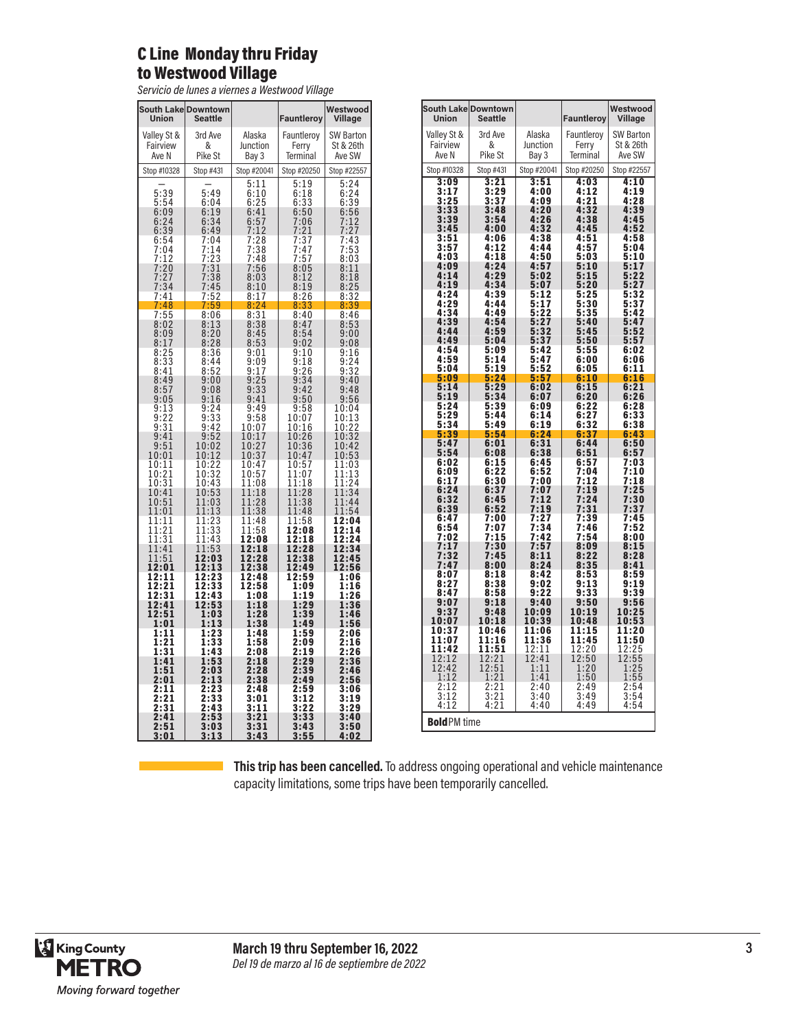#### C Line Monday thru Friday to Westwood Village

*Servicio de lunes a viernes a Westwood Village*

| South Lake Downtown<br>Union                                                                                                                                                                                                           | <b>Seattle</b>                                                          |                                                                                    | Fauntleroy                                                                                                               | Westwood<br>Village                                                 |
|----------------------------------------------------------------------------------------------------------------------------------------------------------------------------------------------------------------------------------------|-------------------------------------------------------------------------|------------------------------------------------------------------------------------|--------------------------------------------------------------------------------------------------------------------------|---------------------------------------------------------------------|
| Valley St &                                                                                                                                                                                                                            | 3rd Ave                                                                 | Alaska                                                                             | Fauntleroy                                                                                                               | <b>SW Barton</b>                                                    |
| Fairview<br>Ave N                                                                                                                                                                                                                      | &<br>Pike St                                                            | Junction<br>Bay 3                                                                  | Ferry<br><b>Terminal</b>                                                                                                 | St & 26th<br>Ave SW                                                 |
| Stop #10328                                                                                                                                                                                                                            | Stop #431                                                               | Stop #20041                                                                        | Stop #20250                                                                                                              | Stop #22557                                                         |
| 5:39                                                                                                                                                                                                                                   | 5:49                                                                    | $\frac{5:11}{6:10}$                                                                | $\frac{5:19}{6:18}$                                                                                                      | $\overline{5:24}$<br>$6:24$<br>$6:39$<br>$6:56$<br>$7:12$<br>$7:27$ |
|                                                                                                                                                                                                                                        |                                                                         |                                                                                    |                                                                                                                          |                                                                     |
| $5:54$<br>$6:09$<br>$6:24$<br>$6:39$<br>$6:54$                                                                                                                                                                                         | $6:04$<br>$6:19$<br>$6:34$<br>$6:49$                                    |                                                                                    |                                                                                                                          |                                                                     |
|                                                                                                                                                                                                                                        | 7:04                                                                    |                                                                                    |                                                                                                                          | 7:27<br>7:43                                                        |
| 7:04<br>7:04<br>7:12<br>7:27<br>7:34                                                                                                                                                                                                   | $7:14$<br>$7:23$<br>$7:31$<br>$7:38$<br>$7:45$                          | 6:25<br>6:41<br>6:57<br>7:12<br>7:28<br>7:38<br>7:56<br>8:03<br>8:10               | 6:33<br>6:50<br>6:50<br>7:06<br>7:21<br>7:37<br>7:47<br>7:57<br>$7:47$<br>$7:57$<br>$8:05$<br>$8:12$<br>$8:19$<br>$9:36$ | $7:53$<br>8:03<br>8:11<br>8:18                                      |
|                                                                                                                                                                                                                                        |                                                                         |                                                                                    |                                                                                                                          |                                                                     |
|                                                                                                                                                                                                                                        |                                                                         |                                                                                    |                                                                                                                          | 8:25                                                                |
| 7:41<br>7<br>:48                                                                                                                                                                                                                       | <u>7:52</u><br>7:59                                                     | 8:17                                                                               | 8:26                                                                                                                     | 8:32<br>8:39                                                        |
| $7:55$<br>8:02<br>8:09                                                                                                                                                                                                                 | $\frac{8:06}{8:13}$<br>8:20                                             | $8:24$<br>$8:31$<br>$8:38$<br>$8:45$<br>$8:53$                                     | $\frac{8:33}{8:40}$<br>8:40<br>8:47<br>8:54                                                                              | 8:46                                                                |
|                                                                                                                                                                                                                                        |                                                                         |                                                                                    |                                                                                                                          | $\frac{8:18}{9:00}$                                                 |
| $8:17$<br>$8:25$<br>$8:33$<br>$8:41$                                                                                                                                                                                                   | $8:28$<br>$8:36$                                                        |                                                                                    | 9:02                                                                                                                     | 9:08                                                                |
|                                                                                                                                                                                                                                        | 8:44                                                                    | $9:01$<br>$9:09$<br>$9:17$<br>$9:25$                                               | $9:10$<br>$9:18$<br>$9:26$<br>$9:34$                                                                                     | $9:16$<br>$9:24$<br>$9:32$<br>$9:40$                                |
| 8:49<br>8:57                                                                                                                                                                                                                           | $\frac{8:52}{9:00}$<br>9:08                                             |                                                                                    | 9:42                                                                                                                     | 9:48                                                                |
| 9:05                                                                                                                                                                                                                                   | 9:16                                                                    | $\frac{9:33}{9:41}$                                                                | 9:50                                                                                                                     | 9:56                                                                |
| $9:13$<br>$9:22$<br>$9:31$<br>$9:41$                                                                                                                                                                                                   | $9:24$<br>$9:33$<br>$9:42$                                              | $\begin{array}{c} 9:49 \\ 9:58 \\ 10:07 \end{array}$                               | $\frac{9:58}{10:07}$<br>10:16                                                                                            | 10:04<br>10:1<br>10:1<br>10:2<br>$\frac{3}{2}$                      |
|                                                                                                                                                                                                                                        |                                                                         |                                                                                    | 10:26                                                                                                                    | 10:22<br>10:32<br>10:42                                             |
| 9:51<br>10:01                                                                                                                                                                                                                          | $9:52$<br>10:02<br>10:12                                                | 10:17<br>10:27<br>10:37                                                            | 10:36<br>10:47                                                                                                           | $10:5\bar{3}$                                                       |
| 10:11                                                                                                                                                                                                                                  |                                                                         | 10:47                                                                              | 10:57<br>1<br>1:07                                                                                                       | 11:03                                                               |
| $\overline{10:21}$<br>$\overline{10:31}$                                                                                                                                                                                               |                                                                         | 10:57<br>11:08                                                                     | $\frac{1:18}{1:28}$<br>1                                                                                                 | 11:13<br>11:24                                                      |
| 10:41<br>10:51                                                                                                                                                                                                                         | $10:22$<br>$10:32$<br>$10:43$<br>$10:53$<br>$11:03$<br>$11:13$          | 11:18<br>$\overline{1}\overline{1}\overline{1}\overline{2}\overline{8}$<br>$11:38$ | $\mathbf{1}$<br>11:38                                                                                                    | 11:3<br>$\overline{4}$<br>11:44                                     |
| 11:01<br>11:11                                                                                                                                                                                                                         | 11:13                                                                   | 1:48<br>1                                                                          | 1:48<br>1<br>11:58                                                                                                       | 11:54<br>12:04                                                      |
| $\overline{1}\overline{1}\overline{1}\overline{2}\overline{1}\overline{1}\overline{1}\overline{3}\overline{1}\overline{1}\overline{1}\overline{3}\overline{1}\overline{1}\overline{1}\overline{4}\overline{1}\overline{4}\overline{1}$ | $11:23$<br>$11:33$<br>$11:43$<br>$11:53$<br>$11:53$                     | $\frac{11:58}{12:08}$<br>12:08<br>12:18                                            | 12:08<br>12:18                                                                                                           | 12:14<br>12:24<br>12:34<br>12:34                                    |
|                                                                                                                                                                                                                                        |                                                                         |                                                                                    | 2:28<br>1                                                                                                                |                                                                     |
| 11:51<br>2:01<br>1                                                                                                                                                                                                                     | 12:03<br>12:13                                                          | 12:28<br>12:38                                                                     | 12:38<br>12:49                                                                                                           | 12:45<br>12:56                                                      |
| 2:11<br>1<br>1<br>1                                                                                                                                                                                                                    | 12:23                                                                   | 12:48<br>12:58                                                                     | 12:59<br>1:09                                                                                                            | 1:06<br>1:16                                                        |
| $\frac{2:2}{2:3}$<br>1<br>1<br>12:41                                                                                                                                                                                                   | $\frac{1}{2}$ : $\frac{3}{3}$<br>$\frac{1}{2}$ : $\frac{4}{3}$<br>12:53 | 1:08<br>1:18                                                                       | 1:19<br>1:29                                                                                                             | 1:26<br>1:36                                                        |
| 12:51                                                                                                                                                                                                                                  | 1:03                                                                    | 1:28                                                                               | 1:39                                                                                                                     | 1:46                                                                |
| 1:01<br>1:11                                                                                                                                                                                                                           | 1:13<br>1:23                                                            | 1:38<br>1:48                                                                       | 1:49<br>1:59                                                                                                             | 1:56<br>2:06                                                        |
| $\begin{array}{c} 2\overline{1} \\ 31 \end{array}$<br>1<br>1                                                                                                                                                                           | $\frac{1:33}{1:43}$                                                     | $\overline{1:}58$<br>2:08                                                          | 2:09<br>2:19                                                                                                             | $\overline{2:16}$<br>$\overline{2:}26$                              |
| 1:41<br>1:51                                                                                                                                                                                                                           | 1:53<br>2:03                                                            | 2:18<br>2:28                                                                       | 2:29<br>2:39                                                                                                             | 2:36<br>2:46                                                        |
| 2:01<br>2:11                                                                                                                                                                                                                           | 2:13                                                                    | 2:38                                                                               | 2:49                                                                                                                     | 2:56                                                                |
| 2:21<br>2:31                                                                                                                                                                                                                           | 2:23<br>2:33<br>2:43                                                    | 2:48<br>3:01                                                                       | $\frac{2:59}{3:12}$                                                                                                      | 3:06<br>$\frac{1}{3:19}$                                            |
| 2:41                                                                                                                                                                                                                                   |                                                                         | 3:11<br>3:21                                                                       | 3:22                                                                                                                     | 3:29<br>3:40                                                        |
| $\overline{2:51}$<br>3:01                                                                                                                                                                                                              | $2:53$<br>$3:03$<br>3:1<br>3                                            | 3:31<br>3:43                                                                       | $3:33$<br>$3:43$<br>$3:55$                                                                                               | 3:50<br>4:02                                                        |

| Union                                                                | South Lake Downtown<br><b>Seattle</b>                                         |                                  | Fauntleroy                          | Westwood<br>Village                          |
|----------------------------------------------------------------------|-------------------------------------------------------------------------------|----------------------------------|-------------------------------------|----------------------------------------------|
| Valley St &                                                          | 3rd Ave<br>&                                                                  | Alaska<br>Junction               | Fauntleroy                          | <b>SW Barton</b><br>St & 26th                |
| Fairview<br>Ave N                                                    | Pike St                                                                       | Bay 3                            | Ferry<br>Terminal                   | Ave SW                                       |
| Stop #10328                                                          | Stop #431                                                                     | Stop #20041                      | Stop #20250                         | Stop #22557                                  |
| 3:09                                                                 | 3:21                                                                          | 3:51<br>4:00                     | 4:03<br>4:12                        | 4:10<br>4:19                                 |
|                                                                      | $3:29$<br>$3:37$                                                              | 4:09                             | 4:21                                | 4:28                                         |
| $3:17$<br>$3:25$<br>$3:33$<br>$3:39$                                 | 3:48<br>3:54                                                                  | 4:20<br>4:26                     | 4:32<br>4:38                        | 4:39<br>4:45                                 |
| 3:45                                                                 | 4:00<br>4:06                                                                  | 4:32<br>$4:38$<br>$4:44$         | 4:45                                | 4:52                                         |
| $\frac{3:51}{3:57}$<br>4:03                                          | 4:12<br>4:18                                                                  | 4:50                             | $4:51$<br>$4:57$<br>5:03            | $4:58$<br>$5:04$<br>5:10                     |
| 4:09<br>4:14                                                         | 4:24<br>4:29                                                                  | 4:57<br>5:02                     | 5:10<br>5:15                        | 5:17<br>5:22                                 |
| 4:19                                                                 | 4:34                                                                          | 5:07                             | 5:20                                | 5:27                                         |
| $4:24$<br>$4:29$                                                     | 4:39<br>4:44                                                                  | $\frac{5:12}{5:17}$              | $5:25$<br>$5:30$                    | 5:32<br>5:37                                 |
| 4:34<br>4:39                                                         | 4:49<br>4:54                                                                  | 5:22                             | 5:35                                | 5:42                                         |
| 4:44<br>4:49                                                         | 4:59<br>5:04                                                                  | 5:27<br>5:32                     | $5:40$<br>$5:45$<br>5:50            | $5:47$<br>$5:52$<br>5:57                     |
| 4:54                                                                 | 5:09                                                                          | 5:37<br>5:42                     | 5:55                                | 6:02                                         |
| 4:59<br>5:04                                                         | 5:14<br>5:19                                                                  | 5:47<br>5:52                     | 6:00<br>6:05                        | 6:06<br>6:11                                 |
| 5:09<br>5:14                                                         | 5:24<br>5:29                                                                  | 5:57<br>6:02                     | 6:10<br>6:15                        | 6:16<br>6:21                                 |
| 5:19                                                                 | 5:34                                                                          | 6:07                             | $6:20$<br>$6:22$                    | 6:26<br>6:28                                 |
| 5:24<br>5:29                                                         | 5:39<br>5:44                                                                  | 6:09<br>$6:14$<br>$6:19$         | 6:27                                | 6:33                                         |
| 5:34                                                                 | 5:49<br>5:54                                                                  | 6:24                             | 6:32<br>6:37                        | 6:38<br>6:43                                 |
| 5:39<br>5:47<br>5:54                                                 | 6:01<br>6:08                                                                  | $6:31$<br>$6:38$                 | 6:44<br>6:51                        | 6:50<br>6:57                                 |
| 6:02                                                                 | 6:15<br>6:22                                                                  | 6:45<br>6:52                     | 6:57                                | 7:03                                         |
| 6:09<br>6:17                                                         | 6:30                                                                          | 7:00                             | 7:04<br>7:12                        | 7:10<br>7:18                                 |
| 6:24<br>6:32                                                         | 6:37<br>6:45                                                                  | : 0<br>7<br>7<br>:12<br>7        | :19<br>7<br>7:24                    | :25<br>7<br>$\overline{30}$<br>7:30<br>7:37  |
| 6:39<br>6:47                                                         | 6:52<br>7:00                                                                  | 7:19<br>: 27<br>7                | 7:31<br>7:39                        | 7:45                                         |
| 6:54<br>$\overline{.02}$<br>7                                        | $7:07$<br>$7:15$                                                              | $:34$<br>$:42$<br>7<br>7         | $7:46$<br>$7:54$                    | 7:52<br>8:00                                 |
| 7:17                                                                 | 7:30                                                                          | 7:57                             | 8:09                                | 8:15                                         |
| 7:32<br>7:47                                                         | 7:45<br>8:00                                                                  | 8:11<br>8:24                     | 8:22<br>8:35                        | 8:28<br>8:41                                 |
| 8:07<br>8:27                                                         | 8:18                                                                          | 8:42<br>9:02                     | 8:53<br>9:13                        | 8:59                                         |
| 8:47                                                                 | $8:38$<br>$8:58$<br>9:18                                                      | 9:22                             | 9:3<br>3<br>9:50                    | $9:19$<br>$9:39$<br>9:56                     |
| 9:07<br>9:37                                                         | 9:48                                                                          | 9:40<br>10:09                    | 10:19                               | 10:25                                        |
| 10:07                                                                | 10:18<br>10:46                                                                | 10:39<br>11:06                   | 10:48<br>11:15                      | 10:53<br>$\frac{11:20}{11:50}$               |
| 10:37<br>11:07<br>11:42                                              | 1:16<br>1<br>11:51                                                            | $\frac{11:36}{12:11}$<br>$12:41$ | <b>11:45</b><br>12:20<br>12:50<br>1 |                                              |
| 12:12                                                                | 2:21<br>1                                                                     | 1:11                             | 1:20                                | $\frac{12:25}{12:55}$<br>$\frac{1:25}{1:25}$ |
|                                                                      |                                                                               | 1:41                             | 1:50                                | 1:55                                         |
| $\begin{array}{r} 12:12 \\ 1:12 \\ 2:12 \\ 3:12 \\ 4:12 \end{array}$ | $\begin{array}{r} 12.21 \\ 12.51 \\ 1.21 \\ 2.21 \\ 3.21 \\ 4.21 \end{array}$ | 2:40<br>3:40                     | $\frac{2:49}{3:49}$                 | $\frac{2:54}{3:54}$                          |
|                                                                      |                                                                               | 4:40                             | 4:49                                | 4:54                                         |
| <b>Bold PM</b> time                                                  |                                                                               |                                  |                                     |                                              |

**This trip has been cancelled.** To address ongoing operational and vehicle maintenance capacity limitations, some trips have been temporarily cancelled.

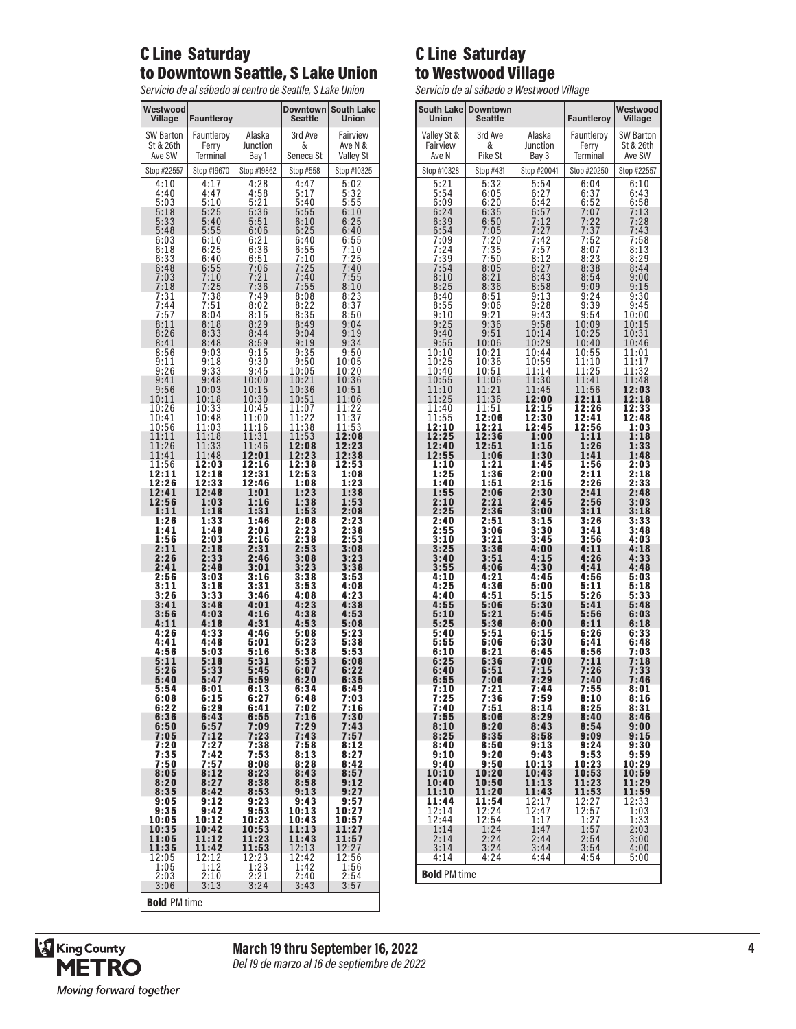#### C Line Saturday to Downtown Seattle, S Lake Union

*Servicio de al sábado al centro de Seattle, S Lake Union*

| Westwood<br>Village                     | Fauntleroy                      |                                     | <b>Downtown</b><br><b>Seattle</b> | <b>South Lake</b><br>Union          |
|-----------------------------------------|---------------------------------|-------------------------------------|-----------------------------------|-------------------------------------|
| <b>SW Barton</b><br>St & 26th<br>Ave SW | Fauntleroy<br>Ferry<br>Terminal | Alaska<br>Junction<br>Bay 1         | 3rd Ave<br>&<br>Seneca St         | Fairview<br>Ave N &<br>Valley St    |
| Stop #22557                             | Stop #19670                     | Stop #19862                         | Stop #558                         | Stop #10325                         |
| 4:10<br>4:40<br>5:03                    | 4:17<br>4:47<br>5:10            | 4:28<br>4:58<br>$\frac{5:21}{5:36}$ | 4:47<br>5:17<br>5:40              | 5:02<br>5:32<br>5:55                |
| 5:18<br>$5:33$<br>$5:48$                | 5:25<br>5:40<br>5:55            | 5:51<br>6:06                        | 5:55<br>6:10<br>6:25              | 6:10<br>6:25<br>6:40                |
| 6:03<br>6:18<br>6:33<br>6:48            | 6:10<br>6:25<br>6:40            | 6:21<br>6:36<br>6:51                | 6:40<br>6:55<br>7:10<br>7:25      | 6:55<br>7:10<br>7:25                |
| 7:03<br>7:18<br>7:31                    | 6:55<br>7:10<br>7:25<br>7:38    | 7:06<br>7:21<br>7:36<br>7:49        | 7:40<br>7:55<br>8:08              | 7:40<br>7:55<br>8:10                |
| 7:44<br>7:57<br>8:11                    | 7:51<br>8:04<br>8:18            | 8:02<br>8:15<br>8:29                | 8:22<br>$\frac{8:35}{8:49}$       | $\frac{8:23}{8:37}$<br>8:50<br>9:04 |
| 8:26<br>8:41<br>8:56                    | 8:33<br>8:48<br>9:03            | 8:44<br>8:59<br>9:15                | 9:04<br>9:19<br>9:35              | 9:19<br>9:34<br>9:50                |
| 9:11<br>9:26<br>9:41                    | 9:18<br>9:33<br>9:48            | $9:30$<br>$9:45$<br>10:00           | 9:50<br>10:05<br>10:21            | 10:05<br>10:20<br>10:36             |
| 9:56<br>10:11<br>10:26                  | 10:03<br>10:18<br>10:33         | 10:15<br>10:30<br>10:45             | 10:36<br>10:51<br>11:07           | 10:51<br>11:06                      |
| 10:41<br>10:56<br>11:11                 | 10:48<br>11:03<br>11:18         | 11:00<br>11:16<br>11:31             | 11:22<br>11:38<br>11:53           | 11:22<br>11:37<br>11:53<br>12:08    |
| 11:26<br>11:41<br>11:56                 | 11:33<br>11:48<br>12:03         | 11:46<br>12:01<br>12:16             | 12:08<br>12:23<br>12:38           | 12:23<br>12:38<br>12:53             |
| 12:11<br>12:26<br>12:41                 | 12:18<br>12:33<br>12:48         | 12:31<br>12:46<br>1:01              | 12:53<br>1:08<br>1:23             | 1:08<br>1:23<br>1:38                |
| 12:56<br>1:11<br>1:26                   | 1:03<br>1:18<br>1:33            | 1:16<br>1:31<br>1:46                | 1:38<br>1:53<br>2:08              | 1:53<br>2:08<br>2:23                |
| 1:41<br>1:56<br>2:11                    | 1:48<br>2:03<br>2:18            | 2:01<br>2:16<br>2:31                | 2:23<br>2:38<br>2:53              | 2:38<br>2:53<br>3:08                |
| 2:26<br>2:41<br>2:56                    | 2:33<br>2:48<br>3:03            | 2:46<br>3:01<br>3:16                | 3:08<br>3:23<br>3:38              | 3:23<br>3:38<br>3:53                |
| 3:11<br>$\frac{3:26}{3:41}$             | 3:18<br>3:33<br>3:48            | 3:31<br>3:46<br>4:01                | 3:53<br>4:08<br>4:23              | 4:08<br>4:23<br>4:38                |
| 3:56<br>4:11<br>4:26                    | 4:03<br>4:18<br>4:33            | 4:16<br>4:31<br>4:46                | 4:38<br>4:53<br>5:08              | 4:53<br>5:08<br>5:23                |
| 4:41<br>4:56<br>5:11                    | 4:48<br>5:03<br>5:18            | 5:01<br>5:16<br>5:31                | 5:23<br>5:38<br>5:53              | 5:38<br>5:53<br>6:08                |
| 5:26<br>5:40<br>5:54                    | 5:33<br>5:47<br>6:01            | 5:45<br>5:59<br>6:13                | 6:07<br>6:20<br>6:34              | $6:22$<br>$6:35$<br>6:49            |
| 6:08<br>6:22<br>6:36                    | 6:15<br>6:29<br>6:43            | 6:27<br>6:41<br>6:55                | 6:48<br>7:02<br>7:16              | 7:03<br>7:16<br>$7:30$<br>$7:43$    |
| 6:50<br>7:05<br>7:20                    | 6:57<br>7:12<br>7:27            | 7:09<br>7:23<br>7:38                | 7:29<br>7:43<br>7:58              | 7:57<br>8:12                        |
| 7:35<br>7:50<br>8:05                    | 7:42<br>7:57<br>8:12            | 7:53<br>8:08<br>8:23                | 8:13<br>8:28<br>8:43              | 8:27<br>8:42<br>8:57                |
| 8:20<br>8:35<br>9:05<br>9:35            | 8:27<br>8:42<br>9:12<br>9:42    | 8:38<br>8:53<br>9:23                | 8:58<br>9:13<br>9:43              | 9:12<br>9:27<br>9:57<br>10:27       |
| 10:05<br>10:35<br>11:05                 | 10:12<br>10:42<br>11:12         | 9:53<br>10:23<br>10:53<br>11:23     | 10:13<br>10:43<br>11:13<br>11:43  | 10:57<br>11:27<br>11:57             |
| 11:35<br>12:05<br>1:05                  | 11:42<br>12:12<br>1:12          | 11:53<br>$\frac{12:23}{1:23}$       | 12:13<br>12:42<br>1:42            | 12:27<br>12:56<br>1:56              |
| 2:03<br>3:06                            | 2:10<br>3:13                    | $\frac{2:21}{3:24}$                 | 2:40<br>3:43                      | $\frac{2:54}{3:57}$                 |
| <b>Bold PM time</b>                     |                                 |                                     |                                   |                                     |

### C Line Saturday to Westwood Village

*Servicio de al sábado a Westwood Village*

| <b>South Lake</b><br><b>Union</b> | <b>Downtown</b><br>Seattle |                | Fauntleroy     | Westwood<br>Village |
|-----------------------------------|----------------------------|----------------|----------------|---------------------|
| Valley St &                       | 3rd Ave                    | Alaska         | Fauntlerov     | <b>SW Barton</b>    |
| Fairview                          | &                          | Junction       | Ferry          | St & 26th           |
| Ave N                             | Pike St                    | Bay 3          | Terminal       | Ave SW              |
| Stop #10328                       | Stop #431                  | Stop #20041    | Stop #20250    | Stop #22557         |
| 5:21<br>5:54                      | 5:32<br>6:05               | 5:54<br>6:27   | 6:04<br>6:37   | 6:10<br>6:43        |
| 6:09                              | 6:20                       | 6:42           | 6:52           | 6:58                |
| 6:24<br>6:39                      | $6:35$<br>$6:50$           | 6:57<br>7:12   | 7:07<br>7:22   | 7:13<br>7:28        |
| 6:54                              | 7:05                       | 7:27           | 7:37           | 7:43                |
| 7:09<br>7:24                      | 7:20<br>7:35               | 7:42<br>7:57   | 7:52<br>8:07   | 7:58<br>8:13        |
| 7:39                              | $7:50$<br>8:05             | 8:12           | 8:23           | 8:29                |
| 7:54<br>8:10                      | 8:21                       | 8:27<br>8:43   | 8:38<br>8:54   | 8:44<br>9:00        |
| 8:25                              | 8:36                       | 8:58           | 9:09           | 9:15                |
| 8:40<br>8:55                      | 8:51<br>9:06               | 9:13<br>9:28   | 9:24<br>9:39   | 9:30<br>9:45        |
| 9:10<br>9:25                      | $\frac{9:21}{9:36}$        | 9:43<br>9:58   | 9:54<br>10:09  | 10:00<br>10:15      |
| 9:40                              | 9:51                       | 10:14          | 10:25          | 10:31               |
| 9:55<br>10:10                     | 10:06<br>10:21             | 10:29<br>10:44 | 10:40          | 10:46<br>11:01      |
| 10:25                             | 10:36                      | 10:59          | 10:55<br>11:10 | 11:17               |
| 10:40<br>10:55                    | 10:51<br>11:06             | 11:14<br>11:30 | 11:25<br>11:41 | 11:32<br>11:48      |
| 11:10                             | 11:21                      | 11:45          | 11:56          | 12:03               |
| 11:25<br>11:40                    | 11:36<br>11:51             | 12:00<br>12:15 | 12:11<br>12:26 | 12:18<br>12:33      |
| 11:55                             | 12:06                      | 12:30          | 12:41          | 12:48               |
| 12:10<br>12:25                    | 12:21<br>12:36             | 12:45<br>1:00  | 12:56<br>1:11  | 1:03<br>1:18        |
| 12:40                             | 12:51                      | 1:15           | 1:26           | 1:33                |
| 12:55<br>1:10                     | 1:06<br>1:21               | 1:30<br>1:45   | 1:41<br>1:56   | 1:48<br>2:03        |
| 1:25                              | 1:36                       | 2:00           | 2:11           | 2:18                |
| 1:40<br>1:55                      | 1:51<br>2:06               | 2:15<br>2:30   | 2:26<br>2:41   | 2:33<br>2:48        |
| 2:10                              | 2:21                       | 2:45           | 2:56           | 3:03                |
| 2:25<br>2:40                      | 2:36<br>2:51               | 3:00<br>3:15   | 3:11<br>3:26   | 3:18<br>3:33        |
| 2:55                              | 3:06                       | 3:30           | 3:41           | 3:48                |
| 3:10<br>3:25                      | 3:21<br>3:36               | 3:45<br>4:00   | 3:56<br>4:11   | 4:03<br>4:18        |
| 3:40                              | 3:51                       | 4:15           | 4:26           | 4:33                |
| 3:55<br>4:10                      | 4:06<br>4:21               | 4:30<br>4:45   | 4:41<br>4:56   | 4:48<br>5:03        |
| 4:25                              | 4:36                       | 5:00           | 5:11           | 5:18                |
| 4:40<br>4:55                      | 4:51<br>5:06               | 5:15<br>5:30   | 5:26<br>5:41   | 5:33<br>5:48        |
| 5:10<br>5:25                      | 5:21<br>5:36               | 5:45<br>6:00   | 5:56           | 6:03                |
| 5:40                              | 5:51                       | 6:15           | 6:11<br>6:26   | 6:18<br>6:33        |
| 5:55<br>6:10                      | 6:06<br>6:21               | 6:30<br>6:45   | 6:41<br>6:56   | 6:48<br>7:03        |
| 6:25                              | 6:36                       | 7:00           | 7:11           | 7:18                |
| 6:40                              | 6:51                       | 7:15<br>7:29   | 7:26<br>7:40   | 7:33<br>7:46        |
| 6:55<br>7:10                      | 7:06<br>7:21               | 7:44           | 7:55           | 8:01                |
| 7:25<br>7:40                      | 7:36<br>7:51               | 7:59<br>8:14   | 8:10<br>8:25   | 8:16<br>8:31        |
| 7:55                              | 8:06                       | 8:29           | 8:40           | 8:46                |
| 8:10<br>8:25                      | 8:20<br>8:35               | 8:43<br>8:58   | 8:54<br>9:09   | 9:00<br>9:15        |
| 8:40                              | 8:50                       | 9:13           | 9:24           | 9:30                |
| 9:10<br>9:40                      | 9:20<br>9:50               | 9:43<br>10:13  | 9:53<br>10:23  | 9:59<br>10:29       |
| 10:10                             | 10:20                      | 10:43          | 10:53          | 10:59               |
| 10:40<br>11:10                    | 10:50<br>11:20             | 11:13<br>11:43 | 11:23<br>11:53 | 11:29<br>11:59      |
| 11:44                             | 11:54                      | 12:17          | 12:27          | 12:33               |
| 12:14<br>12:44                    | 12:24                      | 12:47<br>1:17  | 12:57<br>1:27  | 1:03<br>1:33        |
| 1:14                              | 12:54<br>1:24              | 1:47           | 1:57<br>2:54   | 2:03                |
| 2:14<br>3:14                      | 2:24<br>3:24               | 2:44<br>3:44   | 3:54           | 3:00<br>4:00        |
| 4:14                              | 4:24                       | 4:44           | 4:54           | 5:00                |
| <b>Bold PM time</b>               |                            |                |                |                     |